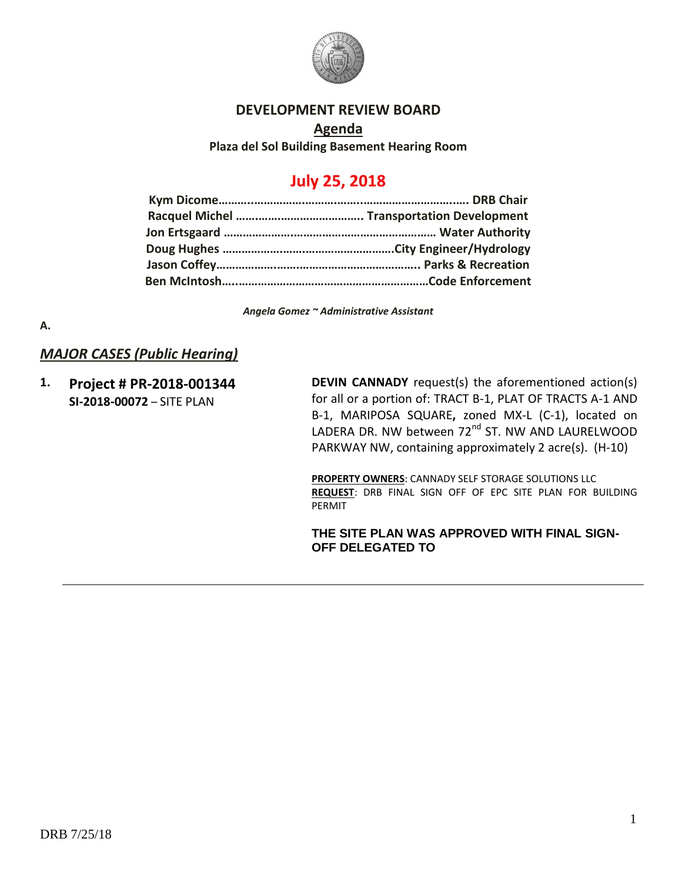

### **DEVELOPMENT REVIEW BOARD**

**Agenda Plaza del Sol Building Basement Hearing Room**

# **July 25, 2018**

*Angela Gomez ~ Administrative Assistant*

### **A.**

## *MAJOR CASES (Public Hearing)*

**1. Project # PR-2018-001344 SI-2018-00072** – SITE PLAN

**DEVIN CANNADY** request(s) the aforementioned action(s) for all or a portion of: TRACT B-1, PLAT OF TRACTS A-1 AND B-1, MARIPOSA SQUARE**,** zoned MX-L (C-1), located on LADERA DR. NW between 72<sup>nd</sup> ST. NW AND LAURELWOOD PARKWAY NW, containing approximately 2 acre(s). (H-10)

**PROPERTY OWNERS**: CANNADY SELF STORAGE SOLUTIONS LLC **REQUEST**: DRB FINAL SIGN OFF OF EPC SITE PLAN FOR BUILDING PERMIT

### **THE SITE PLAN WAS APPROVED WITH FINAL SIGN-OFF DELEGATED TO**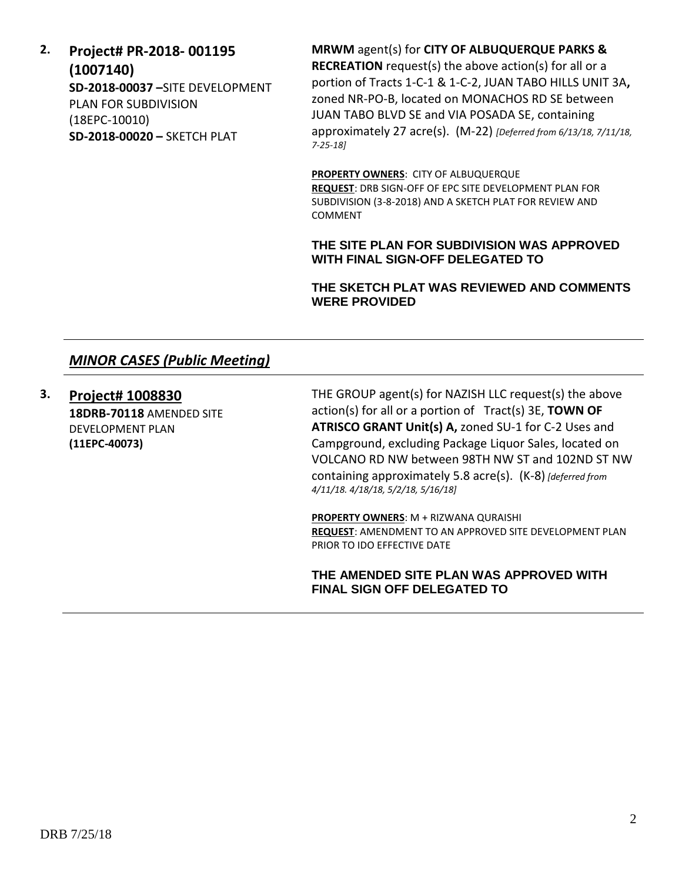# **2. Project# PR-2018- 001195 (1007140) SD-2018-00037 –**SITE DEVELOPMENT PLAN FOR SUBDIVISION (18EPC-10010) **SD-2018-00020 –** SKETCH PLAT

**MRWM** agent(s) for **CITY OF ALBUQUERQUE PARKS & RECREATION** request(s) the above action(s) for all or a

portion of Tracts 1-C-1 & 1-C-2, JUAN TABO HILLS UNIT 3A**,**  zoned NR-PO-B, located on MONACHOS RD SE between JUAN TABO BLVD SE and VIA POSADA SE, containing approximately 27 acre(s). (M-22) *[Deferred from 6/13/18, 7/11/18, 7-25-18]*

**PROPERTY OWNERS**: CITY OF ALBUQUERQUE **REQUEST**: DRB SIGN-OFF OF EPC SITE DEVELOPMENT PLAN FOR SUBDIVISION (3-8-2018) AND A SKETCH PLAT FOR REVIEW AND COMMENT

**THE SITE PLAN FOR SUBDIVISION WAS APPROVED WITH FINAL SIGN-OFF DELEGATED TO** 

**THE SKETCH PLAT WAS REVIEWED AND COMMENTS WERE PROVIDED**

# *MINOR CASES (Public Meeting)*

**3. Project# 1008830 18DRB-70118** AMENDED SITE DEVELOPMENT PLAN **(11EPC-40073)** 

THE GROUP agent(s) for NAZISH LLC request(s) the above action(s) for all or a portion of Tract(s) 3E, **TOWN OF ATRISCO GRANT Unit(s) A,** zoned SU-1 for C-2 Uses and Campground, excluding Package Liquor Sales, located on VOLCANO RD NW between 98TH NW ST and 102ND ST NW containing approximately 5.8 acre(s). (K-8) *[deferred from 4/11/18. 4/18/18, 5/2/18, 5/16/18]*

**PROPERTY OWNERS**: M + RIZWANA QURAISHI **REQUEST**: AMENDMENT TO AN APPROVED SITE DEVELOPMENT PLAN PRIOR TO IDO EFFECTIVE DATE

**THE AMENDED SITE PLAN WAS APPROVED WITH FINAL SIGN OFF DELEGATED TO**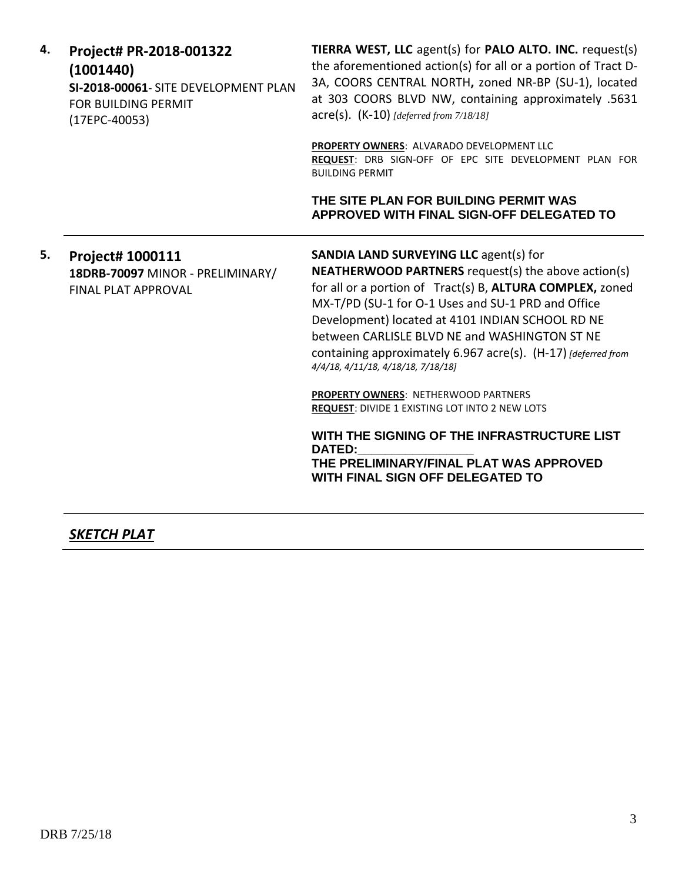| 4. | Project# PR-2018-001322<br>(1001440)<br>SI-2018-00061- SITE DEVELOPMENT PLAN<br><b>FOR BUILDING PERMIT</b><br>(17EPC-40053) | TIERRA WEST, LLC agent(s) for PALO ALTO. INC. request(s)<br>the aforementioned action(s) for all or a portion of Tract D-<br>3A, COORS CENTRAL NORTH, zoned NR-BP (SU-1), located<br>at 303 COORS BLVD NW, containing approximately .5631<br>$\text{acre}(s)$ . (K-10) [deferred from 7/18/18]                                                                                                                                                                                                                                       |
|----|-----------------------------------------------------------------------------------------------------------------------------|--------------------------------------------------------------------------------------------------------------------------------------------------------------------------------------------------------------------------------------------------------------------------------------------------------------------------------------------------------------------------------------------------------------------------------------------------------------------------------------------------------------------------------------|
|    |                                                                                                                             | PROPERTY OWNERS: ALVARADO DEVELOPMENT LLC<br>REQUEST: DRB SIGN-OFF OF EPC SITE DEVELOPMENT PLAN FOR<br><b>BUILDING PERMIT</b>                                                                                                                                                                                                                                                                                                                                                                                                        |
|    |                                                                                                                             | THE SITE PLAN FOR BUILDING PERMIT WAS<br>APPROVED WITH FINAL SIGN-OFF DELEGATED TO                                                                                                                                                                                                                                                                                                                                                                                                                                                   |
| 5. | Project# 1000111<br>18DRB-70097 MINOR - PRELIMINARY/<br><b>FINAL PLAT APPROVAL</b>                                          | <b>SANDIA LAND SURVEYING LLC agent(s) for</b><br><b>NEATHERWOOD PARTNERS</b> request(s) the above action(s)<br>for all or a portion of Tract(s) B, ALTURA COMPLEX, zoned<br>MX-T/PD (SU-1 for O-1 Uses and SU-1 PRD and Office<br>Development) located at 4101 INDIAN SCHOOL RD NE<br>between CARLISLE BLVD NE and WASHINGTON ST NE<br>containing approximately 6.967 acre(s). (H-17) [deferred from<br>4/4/18, 4/11/18, 4/18/18, 7/18/18]<br>PROPERTY OWNERS: NETHERWOOD PARTNERS<br>REQUEST: DIVIDE 1 EXISTING LOT INTO 2 NEW LOTS |
|    |                                                                                                                             | WITH THE SIGNING OF THE INFRASTRUCTURE LIST<br><b>DATED:</b><br>THE PRELIMINARY/FINAL PLAT WAS APPROVED                                                                                                                                                                                                                                                                                                                                                                                                                              |

**WITH FINAL SIGN OFF DELEGATED TO** 

*SKETCH PLAT*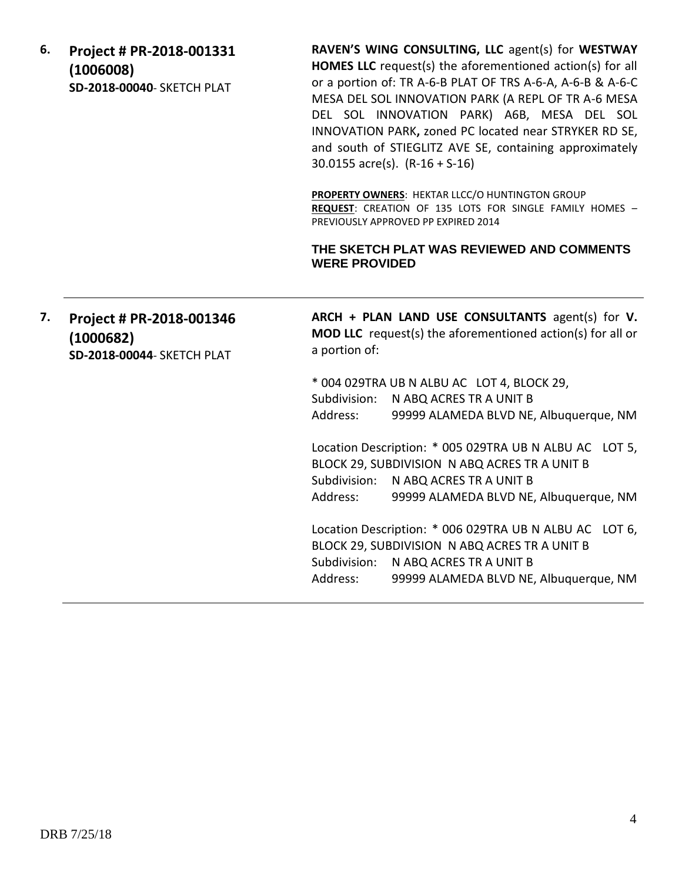**6. Project # PR-2018-001331 (1006008) SD-2018-00040**- SKETCH PLAT

**RAVEN'S WING CONSULTING, LLC** agent(s) for **WESTWAY HOMES LLC** request(s) the aforementioned action(s) for all or a portion of: TR A-6-B PLAT OF TRS A-6-A, A-6-B & A-6-C MESA DEL SOL INNOVATION PARK (A REPL OF TR A-6 MESA DEL SOL INNOVATION PARK) A6B, MESA DEL SOL INNOVATION PARK**,** zoned PC located near STRYKER RD SE, and south of STIEGLITZ AVE SE, containing approximately 30.0155 acre(s). (R-16 + S-16)

**PROPERTY OWNERS: HEKTAR LLCC/O HUNTINGTON GROUP REQUEST**: CREATION OF 135 LOTS FOR SINGLE FAMILY HOMES – PREVIOUSLY APPROVED PP EXPIRED 2014

### **THE SKETCH PLAT WAS REVIEWED AND COMMENTS WERE PROVIDED**

|  | 7. Project # PR-2018-001346             | ARCH + PLAN LAND USE CONSULTANTS agent(s) for V.                                   |
|--|-----------------------------------------|------------------------------------------------------------------------------------|
|  | (1000682)<br>SD-2018-00044- SKETCH PLAT | <b>MOD LLC</b> request(s) the aforementioned action(s) for all or<br>a portion of: |
|  |                                         | $*$ 001 020 TRAILEN ALBILAC LOT A BLOCK 20                                         |

004 029TRA UB N ALBU AC LOT 4, BLOCK 29, Subdivision: N ABQ ACRES TR A UNIT B Address: 99999 ALAMEDA BLVD NE, Albuquerque, NM

Location Description: \* 005 029TRA UB N ALBU AC LOT 5, BLOCK 29, SUBDIVISION N ABQ ACRES TR A UNIT B Subdivision: N ABQ ACRES TR A UNIT B Address: 99999 ALAMEDA BLVD NE, Albuquerque, NM

Location Description: \* 006 029TRA UB N ALBU AC LOT 6, BLOCK 29, SUBDIVISION N ABQ ACRES TR A UNIT B Subdivision: N ABQ ACRES TR A UNIT B Address: 99999 ALAMEDA BLVD NE, Albuquerque, NM